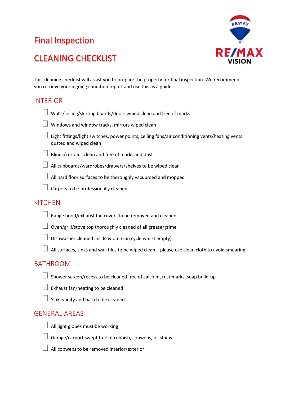# Final Inspection



## CLEANING CHECKLIST

This cleaning checklist will assist you to prepare the property for final inspection. We recommend you retrieve your ingoing condition report and use this as a guide.

### INTERIOR



- $\Box$  Light fittings/light switches, power points, ceiling fans/air conditioning vents/heating vents dusted and wiped clean
- $\Box$  Blinds/curtains clean and free of marks and dust
- $\Box$  All cupboards/wardrobes/drawers/shelves to be wiped clean
	- All hard floor surfaces to be thoroughly vacuumed and mopped
- $\Box$  Carpets to be professionally cleaned

#### **KITCHEN**

- $\Box$  Range hood/exhaust fan covers to be removed and cleaned
- $\Box$  Oven/grill/stove top thoroughly cleaned of all grease/grime
- $\Box$  Dishwasher cleaned inside & out (run cycle whilst empty)
- $\Box$  All surfaces, sinks and wall tiles to be wiped clean please use clean cloth to avoid smearing

#### BATHROOM

 $\Box$  Shower screen/recess to be cleaned free of calcium, rust marks, soap build-up



Sink, vanity and bath to be cleaned

#### GENERAL AREAS

- 
- $\Box$  All light globes must be working



- $\Box$  Garage/carport swept free of rubbish, cobwebs, oil stains
- $\perp$  All cobwebs to be removed interior/exterior